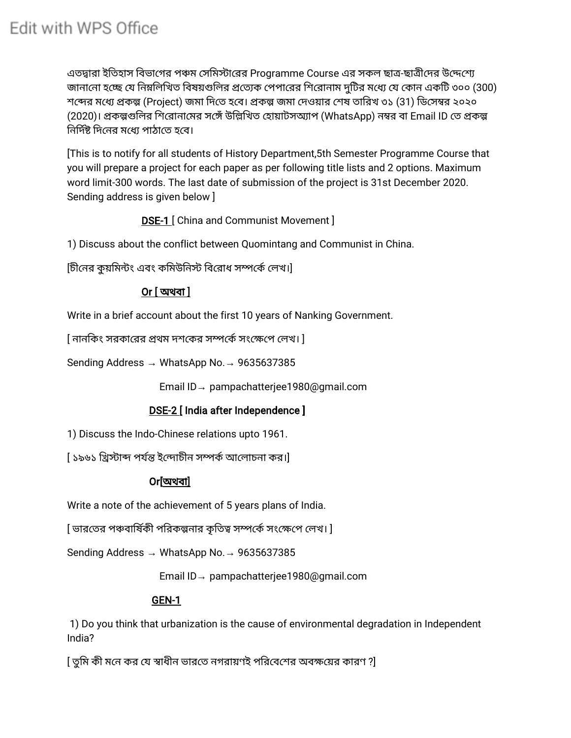# Edit with WPS Office

এতদ্বারা ইতিহাস বিভাগের পঞ্চম সেমিস্টারের Programme Course এর সকল ছাত্র-ছাত্রীদের উদ্দেশ্যে জানানো হচ্ছে যে নিম্নলিখিত বিষয়গুলির প্রত্যেক পেপারের শিরোনাম দুটির মধ্যে যে কোন একটি ৩০০ (300) শব্দের মধ্যে প্রকল্প (Project) জমা দিতে হবে। প্রকল্প জমা দেওয়ার শেষ তারিখ ৩১ (31) ডিসেম্বর ২০২০ (2020)। প্রকল্পগুলির শিরোনামের সঙ্গেঁ উল্লিখিত হোয়াটসঅ্যাপ (WhatsApp) নম্বর বা Email ID তে প্রকল্প নির্দিষ্ট দিনের মধ্যে পাঠাতে হবে।

[This is to notify for all students of History Department,5th Semester Programme Course that you will prepare a project for each paper as per following title lists and 2 options. Maximum word limit-300 words. The last date of submission of the project is 31st December 2020. Sending address is given below ]

DSE-1 [ China and Communist Movement ]

1) Discuss about the conflict between Quomintang and Communist in China.

[চীনের কুয়মিন্টং এবং কমিউনিস্ট বিরোধ সম্পর্কে লেখ।]

# Or [ অথবা ]

Write in a brief account about the first 10 years of Nanking Government.

[ নানিকং সরকারর থম দশকর সকসংপ লখ। ]

Sending Address → WhatsApp No.→ 9635637385

Email ID→ pampachatterjee1980@gmail.com

# DSE-2 [ India after Independence ]

1) Discuss the Indo-Chinese relations upto 1961.

[ ১৯৬১ খ্রিস্টাব্দ পর্যন্ত ইন্দোচীন সম্পর্ক আলোচনা কর।]

#### Or[অথবা]

Write a note of the achievement of 5 years plans of India.

[ ভারতের পঞ্চবার্ষিকী পরিকল্পনার কৃতিত্ব সম্পর্কে সংক্ষেপে লেখ। ]

Sending Address → WhatsApp No.→ 9635637385

Email ID→ pampachatterjee1980@gmail.com

#### GEN-1

1) Do you think that urbanization is the cause of environmental degradation in Independent India?

[ তুমি কী মনে কর যে স্বাধীন ভারতে নগরায়ণই পরিবেশের অবক্ষয়ের কারণ ?]